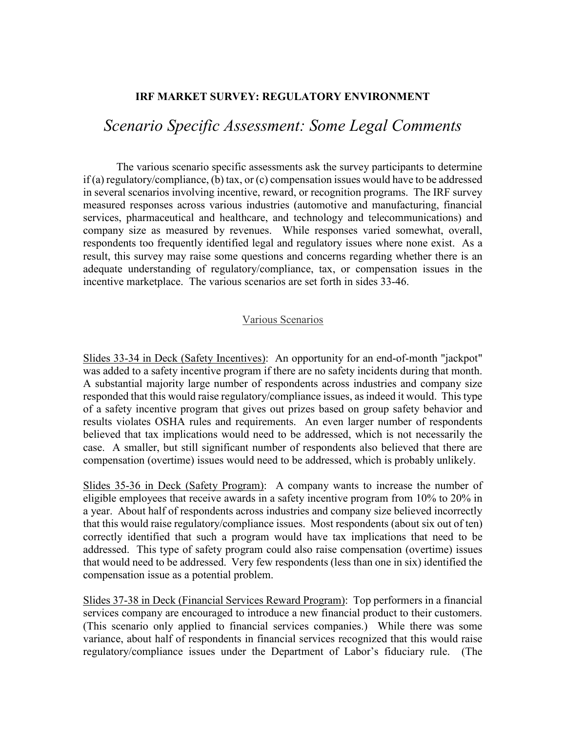## **IRF MARKET SURVEY: REGULATORY ENVIRONMENT**

## *Scenario Specific Assessment: Some Legal Comments*

The various scenario specific assessments ask the survey participants to determine if (a) regulatory/compliance, (b) tax, or (c) compensation issues would have to be addressed in several scenarios involving incentive, reward, or recognition programs. The IRF survey measured responses across various industries (automotive and manufacturing, financial services, pharmaceutical and healthcare, and technology and telecommunications) and company size as measured by revenues. While responses varied somewhat, overall, respondents too frequently identified legal and regulatory issues where none exist. As a result, this survey may raise some questions and concerns regarding whether there is an adequate understanding of regulatory/compliance, tax, or compensation issues in the incentive marketplace. The various scenarios are set forth in sides 33-46.

## Various Scenarios

Slides 33-34 in Deck (Safety Incentives): An opportunity for an end-of-month "jackpot" was added to a safety incentive program if there are no safety incidents during that month. A substantial majority large number of respondents across industries and company size responded that this would raise regulatory/compliance issues, as indeed it would. This type of a safety incentive program that gives out prizes based on group safety behavior and results violates OSHA rules and requirements. An even larger number of respondents believed that tax implications would need to be addressed, which is not necessarily the case. A smaller, but still significant number of respondents also believed that there are compensation (overtime) issues would need to be addressed, which is probably unlikely.

Slides 35-36 in Deck (Safety Program): A company wants to increase the number of eligible employees that receive awards in a safety incentive program from 10% to 20% in a year. About half of respondents across industries and company size believed incorrectly that this would raise regulatory/compliance issues. Most respondents (about six out of ten) correctly identified that such a program would have tax implications that need to be addressed. This type of safety program could also raise compensation (overtime) issues that would need to be addressed. Very few respondents (less than one in six) identified the compensation issue as a potential problem.

Slides 37-38 in Deck (Financial Services Reward Program): Top performers in a financial services company are encouraged to introduce a new financial product to their customers. (This scenario only applied to financial services companies.) While there was some variance, about half of respondents in financial services recognized that this would raise regulatory/compliance issues under the Department of Labor's fiduciary rule. (The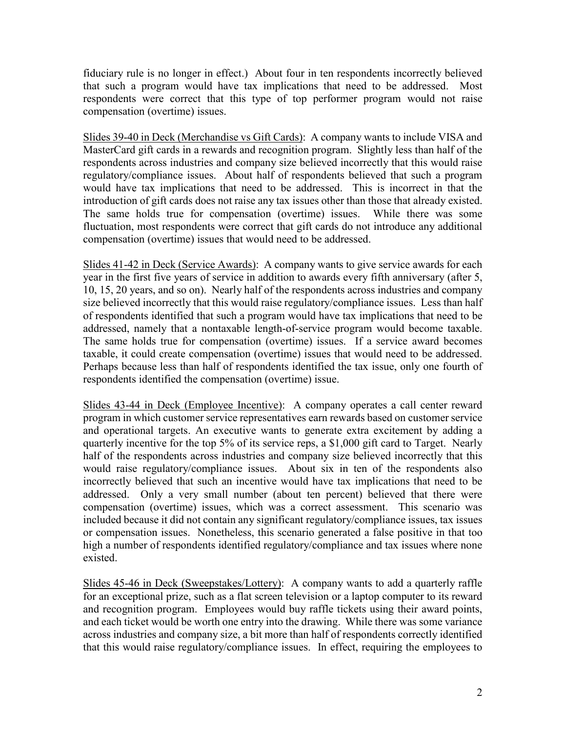fiduciary rule is no longer in effect.) About four in ten respondents incorrectly believed that such a program would have tax implications that need to be addressed. Most respondents were correct that this type of top performer program would not raise compensation (overtime) issues.

Slides 39-40 in Deck (Merchandise vs Gift Cards): A company wants to include VISA and MasterCard gift cards in a rewards and recognition program. Slightly less than half of the respondents across industries and company size believed incorrectly that this would raise regulatory/compliance issues. About half of respondents believed that such a program would have tax implications that need to be addressed. This is incorrect in that the introduction of gift cards does not raise any tax issues other than those that already existed. The same holds true for compensation (overtime) issues. While there was some fluctuation, most respondents were correct that gift cards do not introduce any additional compensation (overtime) issues that would need to be addressed.

Slides 41-42 in Deck (Service Awards): A company wants to give service awards for each year in the first five years of service in addition to awards every fifth anniversary (after 5, 10, 15, 20 years, and so on). Nearly half of the respondents across industries and company size believed incorrectly that this would raise regulatory/compliance issues. Less than half of respondents identified that such a program would have tax implications that need to be addressed, namely that a nontaxable length-of-service program would become taxable. The same holds true for compensation (overtime) issues. If a service award becomes taxable, it could create compensation (overtime) issues that would need to be addressed. Perhaps because less than half of respondents identified the tax issue, only one fourth of respondents identified the compensation (overtime) issue.

Slides 43-44 in Deck (Employee Incentive): A company operates a call center reward program in which customer service representatives earn rewards based on customer service and operational targets. An executive wants to generate extra excitement by adding a quarterly incentive for the top 5% of its service reps, a \$1,000 gift card to Target. Nearly half of the respondents across industries and company size believed incorrectly that this would raise regulatory/compliance issues. About six in ten of the respondents also incorrectly believed that such an incentive would have tax implications that need to be addressed. Only a very small number (about ten percent) believed that there were compensation (overtime) issues, which was a correct assessment. This scenario was included because it did not contain any significant regulatory/compliance issues, tax issues or compensation issues. Nonetheless, this scenario generated a false positive in that too high a number of respondents identified regulatory/compliance and tax issues where none existed.

Slides 45-46 in Deck (Sweepstakes/Lottery): A company wants to add a quarterly raffle for an exceptional prize, such as a flat screen television or a laptop computer to its reward and recognition program. Employees would buy raffle tickets using their award points, and each ticket would be worth one entry into the drawing. While there was some variance across industries and company size, a bit more than half of respondents correctly identified that this would raise regulatory/compliance issues. In effect, requiring the employees to